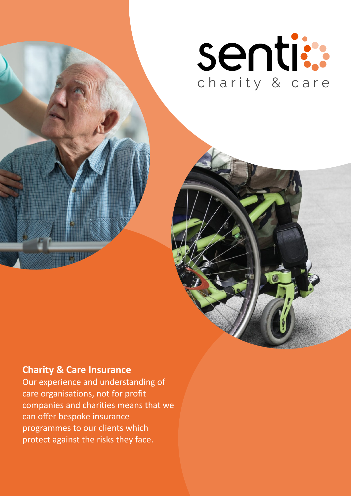

# **Charity & Care Insurance**

Our experience and understanding of care organisations, not for profit companies and charities means that we can offer bespoke insurance programmes to our clients which protect against the risks they face.